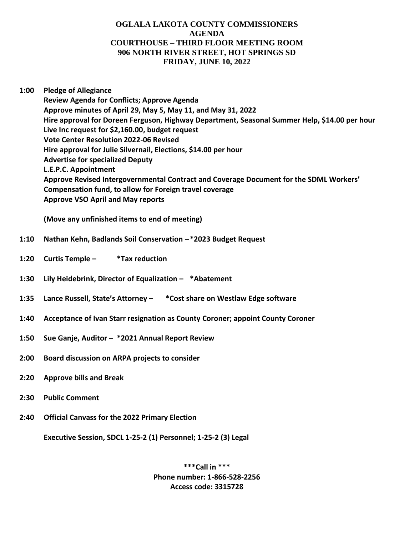## **OGLALA LAKOTA COUNTY COMMISSIONERS AGENDA COURTHOUSE – THIRD FLOOR MEETING ROOM 906 NORTH RIVER STREET, HOT SPRINGS SD FRIDAY, JUNE 10, 2022**

## **1:00 Pledge of Allegiance**

**Review Agenda for Conflicts; Approve Agenda Approve minutes of April 29, May 5, May 11, and May 31, 2022 Hire approval for Doreen Ferguson, Highway Department, Seasonal Summer Help, \$14.00 per hour Live Inc request for \$2,160.00, budget request Vote Center Resolution 2022-06 Revised Hire approval for Julie Silvernail, Elections, \$14.00 per hour Advertise for specialized Deputy L.E.P.C. Appointment Approve Revised Intergovernmental Contract and Coverage Document for the SDML Workers' Compensation fund, to allow for Foreign travel coverage Approve VSO April and May reports**

**(Move any unfinished items to end of meeting)**

- **1:10 Nathan Kehn, Badlands Soil Conservation –\*2023 Budget Request**
- **1:20 Curtis Temple – \*Tax reduction**
- **1:30 Lily Heidebrink, Director of Equalization – \*Abatement**
- **1:35 Lance Russell, State's Attorney – \*Cost share on Westlaw Edge software**
- **1:40 Acceptance of Ivan Starr resignation as County Coroner; appoint County Coroner**
- **1:50 Sue Ganje, Auditor – \*2021 Annual Report Review**
- **2:00 Board discussion on ARPA projects to consider**
- **2:20 Approve bills and Break**
- **2:30 Public Comment**
- **2:40 Official Canvass for the 2022 Primary Election**

**Executive Session, SDCL 1-25-2 (1) Personnel; 1-25-2 (3) Legal**

**\*\*\*Call in \*\*\* Phone number: 1-866-528-2256 Access code: 3315728**